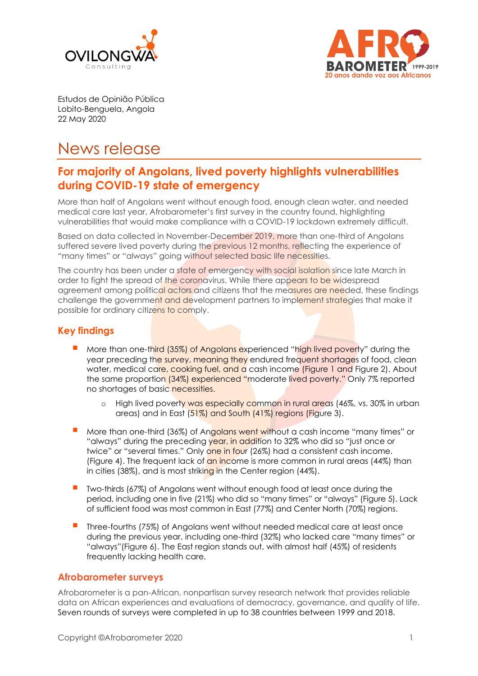



Estudos de Opinião Pública Lobito-Benguela, Angola 22 May 2020

# News release

## **For majority of Angolans, lived poverty highlights vulnerabilities during COVID-19 state of emergency**

More than half of Angolans went without enough food, enough clean water, and needed medical care last year, Afrobarometer's first survey in the country found, highlighting vulnerabilities that would make compliance with a COVID-19 lockdown extremely difficult.

Based on data collected in November-December 2019, more than one-third of Angolans suffered severe lived poverty during the previous 12 months, reflecting the experience of "many times" or "always" going without selected basic life necessities.

The country has been under a state of emergency with social isolation since late March in order to fight the spread of the coronavirus. While there appears to be widespread agreement among political actors and citizens that the measures are needed, these findings challenge the government and development partners to implement strategies that make it possible for ordinary citizens to comply.

### **Key findings**

- More than one-third (35%) of Angolans experienced "high lived poverty" during the year preceding the survey, meaning they endured frequent shortages of food, clean water, medical care, cooking fuel, and a cash income (Figure 1 and Figure 2). About the same proportion (34%) experienced "moderate lived poverty." Only 7% reported no shortages of basic necessities.
	- o High lived poverty was especially common in rural areas (46%, vs. 30% in urban areas) and in East (51%) and South (41%) regions (Figure 3).
- More than one-third (36%) of Angolans went without a cash income "many times" or "always" during the preceding year, in addition to 32% who did so "just once or twice" or "several times." Only one in four (26%) had a consistent cash income. (Figure 4). The frequent lack of an income is more common in rural areas (44%) than in cities (38%), and is most striking in the Center region (44%).
- Two-thirds (67%) of Angolans went without enough food at least once during the period, including one in five (21%) who did so "many times" or "always" (Figure 5). Lack of sufficient food was most common in East (77%) and Center North (70%) regions.
- Three-fourths (75%) of Angolans went without needed medical care at least once during the previous year, including one-third (32%) who lacked care "many times" or "always"(Figure 6). The East region stands out, with almost half (45%) of residents frequently lacking health care.

#### **Afrobarometer surveys**

Afrobarometer is a pan-African, nonpartisan survey research network that provides reliable data on African experiences and evaluations of democracy, governance, and quality of life. Seven rounds of surveys were completed in up to 38 countries between 1999 and 2018.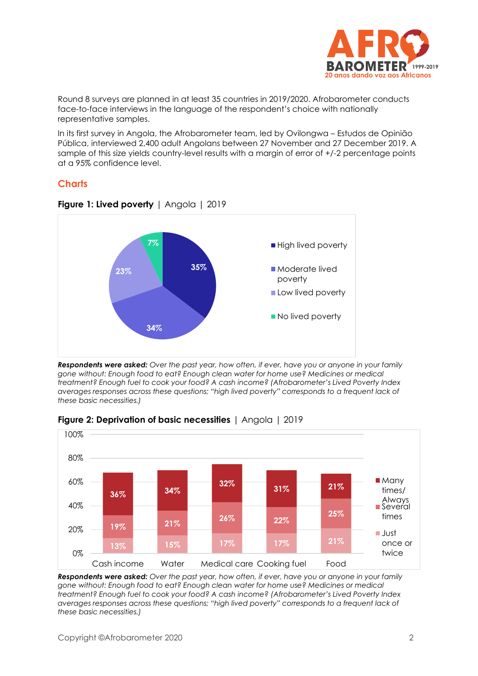

Round 8 surveys are planned in at least 35 countries in 2019/2020. Afrobarometer conducts face-to-face interviews in the language of the respondent's choice with nationally representative samples.

In its first survey in Angola, the Afrobarometer team, led by Ovilongwa – Estudos de Opinião Pública, interviewed 2,400 adult Angolans between 27 November and 27 December 2019. A sample of this size yields country-level results with a margin of error of +/-2 percentage points at a 95% confidence level.

#### **Charts**



**Figure 1: Lived poverty** | Angola | 2019

*Respondents were asked: Over the past year, how often, if ever, have you or anyone in your family gone without: Enough food to eat? Enough clean water for home use? Medicines or medical treatment? Enough fuel to cook your food? A cash income? (Afrobarometer's Lived Poverty Index averages responses across these questions; "high lived poverty" corresponds to a frequent lack of these basic necessities.)*



#### **Figure 2: Deprivation of basic necessities** | Angola | 2019

*Respondents were asked: Over the past year, how often, if ever, have you or anyone in your family gone without: Enough food to eat? Enough clean water for home use? Medicines or medical treatment? Enough fuel to cook your food? A cash income? (Afrobarometer's Lived Poverty Index averages responses across these questions; "high lived poverty" corresponds to a frequent lack of these basic necessities.)*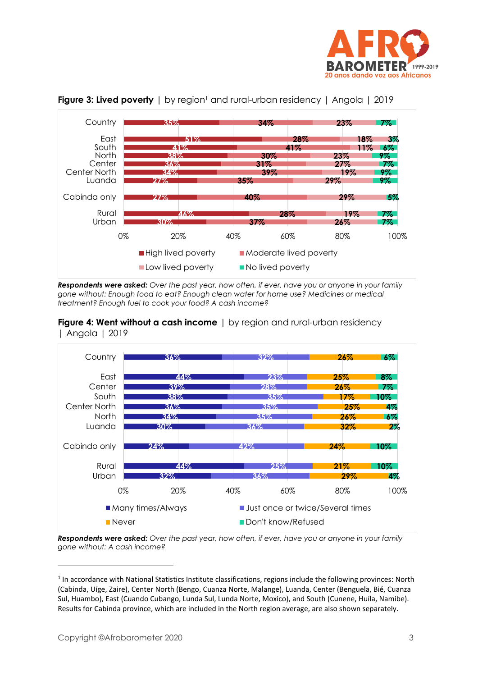



#### **Figure 3: Lived poverty** | by region<sup>1</sup> and rural-urban residency | Angola | 2019

*Respondents were asked: Over the past year, how often, if ever, have you or anyone in your family gone without: Enough food to eat? Enough clean water for home use? Medicines or medical treatment? Enough fuel to cook your food? A cash income?*





*Respondents were asked: Over the past year, how often, if ever, have you or anyone in your family gone without: A cash income?*

<sup>&</sup>lt;sup>1</sup> In accordance with National Statistics Institute classifications, regions include the following provinces: North (Cabinda, Uíge, Zaire), Center North (Bengo, Cuanza Norte, Malange), Luanda, Center (Benguela, Bié, Cuanza Sul, Huambo), East (Cuando Cubango, Lunda Sul, Lunda Norte, Moxico), and South (Cunene, Huíla, Namibe). Results for Cabinda province, which are included in the North region average, are also shown separately.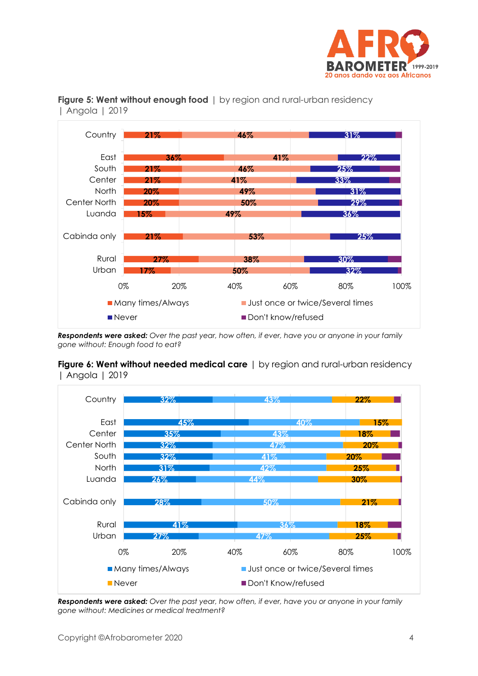



#### **Figure 5: Went without enough food** | by region and rural-urban residency | Angola | 2019

*Respondents were asked: Over the past year, how often, if ever, have you or anyone in your family gone without: Enough food to eat?*

#### **Figure 6: Went without needed medical care** | by region and rural-urban residency | Angola | 2019



*Respondents were asked: Over the past year, how often, if ever, have you or anyone in your family gone without: Medicines or medical treatment?*